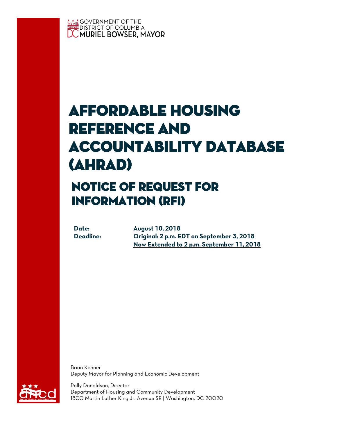

# Affordable Housing Reference and Accountability Database (AHRAD)

## notice of request for information (rfi)

**Date: August 10, 2018 Deadline: Original: 2 p.m. EDT on September 3, 2018 Now Extended to 2 p.m. September 11, 2018**

Brian Kenner Deputy Mayor for Planning and Economic Development



Polly Donaldson, Director Department of Housing and Community Development 1800 Martin Luther King Jr. Avenue SE | Washington, DC 20020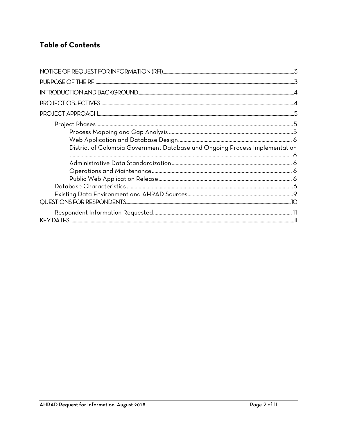### **Table of Contents**

| District of Columbia Government Database and Ongoing Process Implementation |  |
|-----------------------------------------------------------------------------|--|
|                                                                             |  |
|                                                                             |  |
|                                                                             |  |
|                                                                             |  |
|                                                                             |  |
|                                                                             |  |
|                                                                             |  |
|                                                                             |  |
|                                                                             |  |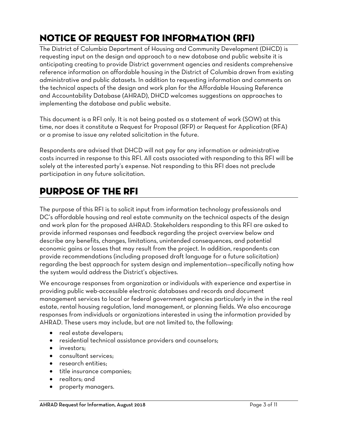### <span id="page-2-0"></span>Notice of request for information (RFI)

The District of Columbia Department of Housing and Community Development (DHCD) is requesting input on the design and approach to a new database and public website it is anticipating creating to provide District government agencies and residents comprehensive reference information on affordable housing in the District of Columbia drawn from existing administrative and public datasets. In addition to requesting information and comments on the technical aspects of the design and work plan for the Affordable Housing Reference and Accountability Database (AHRAD), DHCD welcomes suggestions on approaches to implementing the database and public website.

This document is a RFI only. It is not being posted as a statement of work (SOW) at this time, nor does it constitute a Request for Proposal (RFP) or Request for Application (RFA) or a promise to issue any related solicitation in the future.

Respondents are advised that DHCD will not pay for any information or administrative costs incurred in response to this RFI. All costs associated with responding to this RFI will be solely at the interested party's expense. Not responding to this RFI does not preclude participation in any future solicitation.

### <span id="page-2-1"></span>PURPOSE OF THE RFI

The purpose of this RFI is to solicit input from information technology professionals and DC's affordable housing and real estate community on the technical aspects of the design and work plan for the proposed AHRAD. Stakeholders responding to this RFI are asked to provide informed responses and feedback regarding the project overview below and describe any benefits, changes, limitations, unintended consequences, and potential economic gains or losses that may result from the project. In addition, respondents can provide recommendations (including proposed draft language for a future solicitation) regarding the best approach for system design and implementation—specifically noting how the system would address the District's objectives.

We encourage responses from organization or individuals with experience and expertise in providing public web-accessible electronic databases and records and document management services to local or federal government agencies particularly in the in the real estate, rental housing regulation, land management, or planning fields. We also encourage responses from individuals or organizations interested in using the information provided by AHRAD. These users may include, but are not limited to, the following:

- real estate developers;
- residential technical assistance providers and counselors;
- investors:
- consultant services;
- research entities;
- title insurance companies;
- realtors: and
- property managers.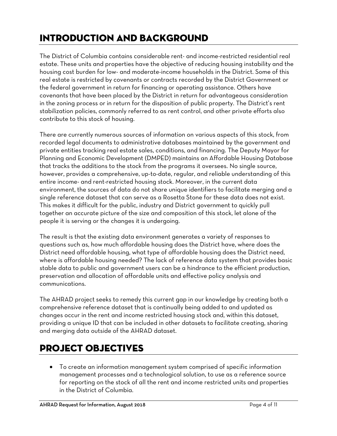### <span id="page-3-0"></span>INTRODUCTION AND BACKGROUND

The District of Columbia contains considerable rent- and income-restricted residential real estate. These units and properties have the objective of reducing housing instability and the housing cost burden for low- and moderate-income households in the District. Some of this real estate is restricted by covenants or contracts recorded by the District Government or the federal government in return for financing or operating assistance. Others have covenants that have been placed by the District in return for advantageous consideration in the zoning process or in return for the disposition of public property. The District's rent stabilization policies, commonly referred to as rent control, and other private efforts also contribute to this stock of housing.

There are currently numerous sources of information on various aspects of this stock, from recorded legal documents to administrative databases maintained by the government and private entities tracking real estate sales, conditions, and financing. The Deputy Mayor for Planning and Economic Development (DMPED) maintains an Affordable Housing Database that tracks the additions to the stock from the programs it oversees. No single source, however, provides a comprehensive, up-to-date, regular, and reliable understanding of this entire income- and rent-restricted housing stock. Moreover, in the current data environment, the sources of data do not share unique identifiers to facilitate merging and a single reference dataset that can serve as a Rosetta Stone for these data does not exist. This makes it difficult for the public, industry and District government to quickly pull together an accurate picture of the size and composition of this stock, let alone of the people it is serving or the changes it is undergoing.

The result is that the existing data environment generates a variety of responses to questions such as, how much affordable housing does the District have, where does the District need affordable housing, what type of affordable housing does the District need, where is affordable housing needed? The lack of reference data system that provides basic stable data to public and government users can be a hindrance to the efficient production, preservation and allocation of affordable units and effective policy analysis and communications.

The AHRAD project seeks to remedy this current gap in our knowledge by creating both a comprehensive reference dataset that is continually being added to and updated as changes occur in the rent and income restricted housing stock and, within this dataset, providing a unique ID that can be included in other datasets to facilitate creating, sharing and merging data outside of the AHRAD dataset.

### <span id="page-3-1"></span>PROJECT OBJECTIVES

 To create an information management system comprised of specific information management processes and a technological solution, to use as a reference source for reporting on the stock of all the rent and income restricted units and properties in the District of Columbia.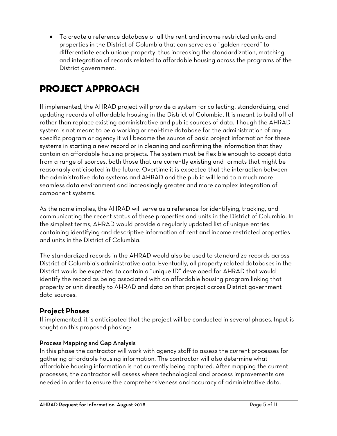To create a reference database of all the rent and income restricted units and properties in the District of Columbia that can serve as a "golden record" to differentiate each unique property, thus increasing the standardization, matching, and integration of records related to affordable housing across the programs of the District government.

### <span id="page-4-0"></span>PROJECT APPROACH

If implemented, the AHRAD project will provide a system for collecting, standardizing, and updating records of affordable housing in the District of Columbia. It is meant to build off of rather than replace existing administrative and public sources of data. Though the AHRAD system is not meant to be a working or real-time database for the administration of any specific program or agency it will become the source of basic project information for these systems in starting a new record or in cleaning and confirming the information that they contain on affordable housing projects. The system must be flexible enough to accept data from a range of sources, both those that are currently existing and formats that might be reasonably anticipated in the future. Overtime it is expected that the interaction between the administrative data systems and AHRAD and the public will lead to a much more seamless data environment and increasingly greater and more complex integration of component systems.

As the name implies, the AHRAD will serve as a reference for identifying, tracking, and communicating the recent status of these properties and units in the District of Columbia. In the simplest terms, AHRAD would provide a regularly updated list of unique entries containing identifying and descriptive information of rent and income restricted properties and units in the District of Columbia.

The standardized records in the AHRAD would also be used to standardize records across District of Columbia's administrative data. Eventually, all property related databases in the District would be expected to contain a "unique ID" developed for AHRAD that would identify the record as being associated with an affordable housing program linking that property or unit directly to AHRAD and data on that project across District government data sources.

#### <span id="page-4-1"></span>**Project Phases**

If implemented, it is anticipated that the project will be conducted in several phases. Input is sought on this proposed phasing:

#### <span id="page-4-2"></span>Process Mapping and Gap Analysis

In this phase the contractor will work with agency staff to assess the current processes for gathering affordable housing information. The contractor will also determine what affordable housing information is not currently being captured. After mapping the current processes, the contractor will assess where technological and process improvements are needed in order to ensure the comprehensiveness and accuracy of administrative data.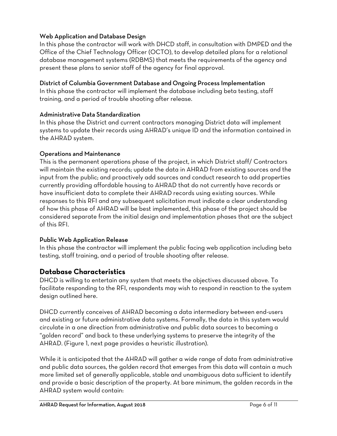#### <span id="page-5-0"></span>Web Application and Database Design

In this phase the contractor will work with DHCD staff, in consultation with DMPED and the Office of the Chief Technology Officer (OCTO), to develop detailed plans for a relational database management systems (RDBMS) that meets the requirements of the agency and present these plans to senior staff of the agency for final approval.

#### <span id="page-5-1"></span>District of Columbia Government Database and Ongoing Process Implementation

In this phase the contractor will implement the database including beta testing, staff training, and a period of trouble shooting after release.

#### <span id="page-5-2"></span>Administrative Data Standardization

In this phase the District and current contractors managing District data will implement systems to update their records using AHRAD's unique ID and the information contained in the AHRAD system.

#### <span id="page-5-3"></span>Operations and Maintenance

This is the permanent operations phase of the project, in which District staff/ Contractors will maintain the existing records; update the data in AHRAD from existing sources and the input from the public; and proactively add sources and conduct research to add properties currently providing affordable housing to AHRAD that do not currently have records or have insufficient data to complete their AHRAD records using existing sources. While responses to this RFI and any subsequent solicitation must indicate a clear understanding of how this phase of AHRAD will be best implemented, this phase of the project should be considered separate from the initial design and implementation phases that are the subject of this RFI.

#### <span id="page-5-4"></span>Public Web Application Release

In this phase the contractor will implement the public facing web application including beta testing, staff training, and a period of trouble shooting after release.

#### <span id="page-5-5"></span>**Database Characteristics**

DHCD is willing to entertain any system that meets the objectives discussed above. To facilitate responding to the RFI, respondents may wish to respond in reaction to the system design outlined here.

DHCD currently conceives of AHRAD becoming a data intermediary between end-users and existing or future administrative data systems. Formally, the data in this system would circulate in a one direction from administrative and public data sources to becoming a "golden record" and back to these underlying systems to preserve the integrity of the AHRAD. (Figure 1, next page provides a heuristic illustration).

While it is anticipated that the AHRAD will gather a wide range of data from administrative and public data sources, the golden record that emerges from this data will contain a much more limited set of generally applicable, stable and unambiguous data sufficient to identify and provide a basic description of the property. At bare minimum, the golden records in the AHRAD system would contain: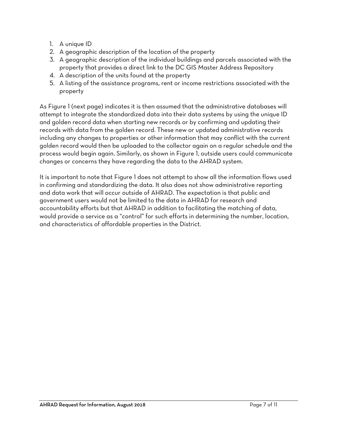- 1. A unique ID
- 2. A geographic description of the location of the property
- 3. A geographic description of the individual buildings and parcels associated with the property that provides a direct link to the DC GIS Master Address Repository
- 4. A description of the units found at the property
- 5. A listing of the assistance programs, rent or income restrictions associated with the property

As Figure 1 (next page) indicates it is then assumed that the administrative databases will attempt to integrate the standardized data into their data systems by using the unique ID and golden record data when starting new records or by confirming and updating their records with data from the golden record. These new or updated administrative records including any changes to properties or other information that may conflict with the current golden record would then be uploaded to the collector again on a regular schedule and the process would begin again. Similarly, as shown in Figure 1, outside users could communicate changes or concerns they have regarding the data to the AHRAD system.

It is important to note that Figure 1 does not attempt to show all the information flows used in confirming and standardizing the data. It also does not show administrative reporting and data work that will occur outside of AHRAD. The expectation is that public and government users would not be limited to the data in AHRAD for research and accountability efforts but that AHRAD in addition to facilitating the matching of data, would provide a service as a "control" for such efforts in determining the number, location, and characteristics of affordable properties in the District.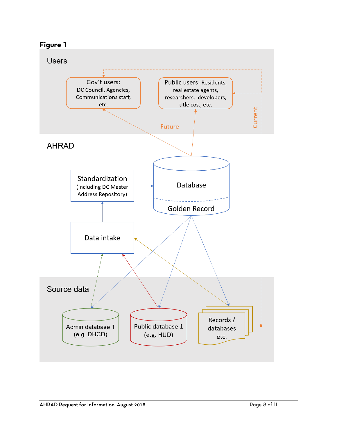

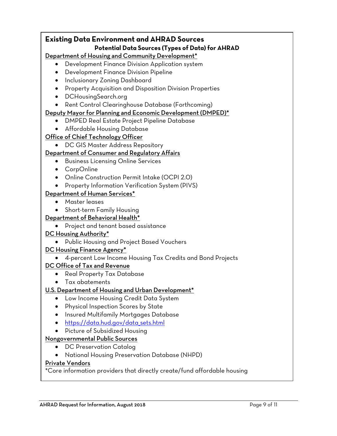#### **Existing Data Environment and AHRAD Sources Potential Data Sources (Types of Data) for AHRAD** Department of Housing and Community Development\* Development Finance Division Application system Development Finance Division Pipeline • Inclusionary Zoning Dashboard **•** Property Acquisition and Disposition Division Properties DCHousingSearch.org • Rent Control Clearinghouse Database (Forthcoming) Deputy Mayor for Planning and Economic Development (DMPED)\* DMPED Real Estate Project Pipeline Database Affordable Housing Database Office of Chief Technology Officer DC GIS Master Address Repository Department of Consumer and Regulatory Affairs **•** Business Licensing Online Services CorpOnline Online Construction Permit Intake (OCPI 2.0) • Property Information Verification System (PIVS) Department of Human Services\* Master leases Short-term Family Housing Department of Behavioral Health\* • Project and tenant based assistance DC Housing Authority\* Public Housing and Project Based Vouchers DC Housing Finance Agency\* 4-percent Low Income Housing Tax Credits and Bond Projects DC Office of Tax and Revenue • Real Property Tax Database Tax abatements U.S. Department of Housing and Urban Development\* Low Income Housing Credit Data System Physical Inspection Scores by State **•** Insured Multifamily Mortgages Database [https://data.hud.gov/data\\_sets.html](https://data.hud.gov/data_sets.html) Picture of Subsidized Housing Nongovernmental Public Sources • DC Preservation Catalog National Housing Preservation Database (NHPD) Private Vendors \*Core information providers that directly create/fund affordable housing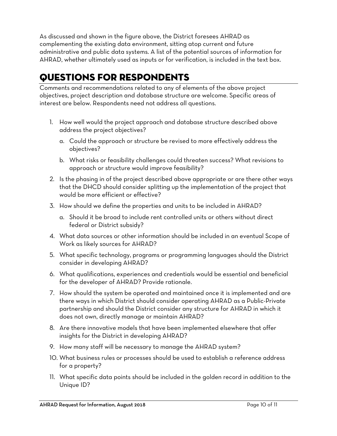As discussed and shown in the figure above, the District foresees AHRAD as complementing the existing data environment, sitting atop current and future administrative and public data systems. A list of the potential sources of information for AHRAD, whether ultimately used as inputs or for verification, is included in the text box.

### <span id="page-9-0"></span>QUESTIONS FOR RESPONDENTS

Comments and recommendations related to any of elements of the above project objectives, project description and database structure are welcome. Specific areas of interest are below. Respondents need not address all questions.

- 1. How well would the project approach and database structure described above address the project objectives?
	- a. Could the approach or structure be revised to more effectively address the objectives?
	- b. What risks or feasibility challenges could threaten success? What revisions to approach or structure would improve feasibility?
- 2. Is the phasing in of the project described above appropriate or are there other ways that the DHCD should consider splitting up the implementation of the project that would be more efficient or effective?
- 3. How should we define the properties and units to be included in AHRAD?
	- a. Should it be broad to include rent controlled units or others without direct federal or District subsidy?
- 4. What data sources or other information should be included in an eventual Scope of Work as likely sources for AHRAD?
- 5. What specific technology, programs or programming languages should the District consider in developing AHRAD?
- 6. What qualifications, experiences and credentials would be essential and beneficial for the developer of AHRAD? Provide rationale.
- 7. How should the system be operated and maintained once it is implemented and are there ways in which District should consider operating AHRAD as a Public-Private partnership and should the District consider any structure for AHRAD in which it does not own, directly manage or maintain AHRAD?
- 8. Are there innovative models that have been implemented elsewhere that offer insights for the District in developing AHRAD?
- 9. How many staff will be necessary to manage the AHRAD system?
- 10. What business rules or processes should be used to establish a reference address for a property?
- 11. What specific data points should be included in the golden record in addition to the Unique ID?